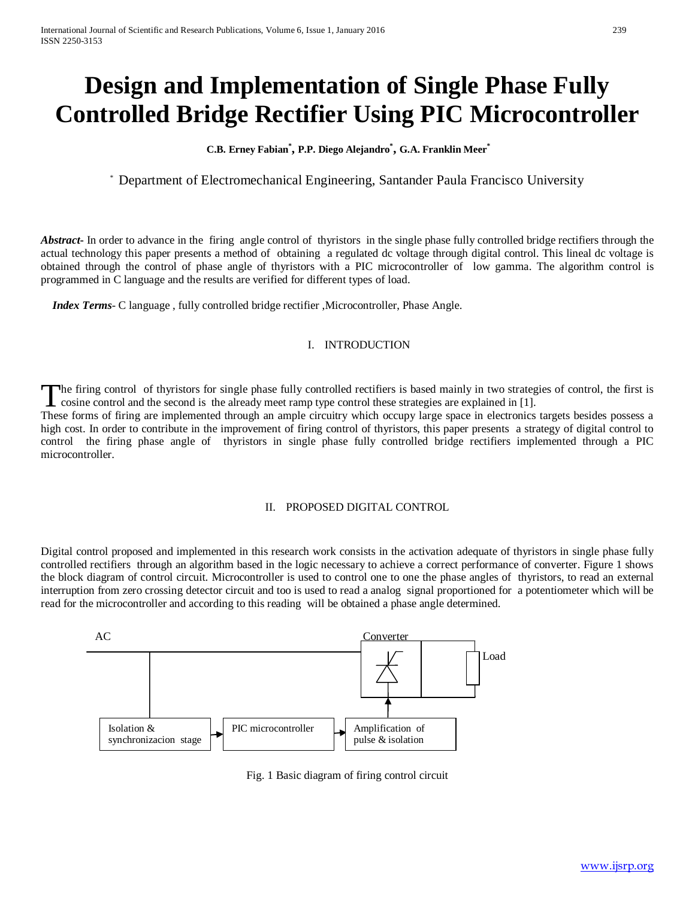# **Design and Implementation of Single Phase Fully Controlled Bridge Rectifier Using PIC Microcontroller**

**C.B. Erney Fabian\* , P.P. Diego Alejandro\* , G.A. Franklin Meer\***

\* Department of Electromechanical Engineering, Santander Paula Francisco University

*Abstract* In order to advance in the firing angle control of thyristors in the single phase fully controlled bridge rectifiers through the actual technology this paper presents a method of obtaining a regulated dc voltage through digital control. This lineal dc voltage is obtained through the control of phase angle of thyristors with a PIC microcontroller of low gamma. The algorithm control is programmed in C language and the results are verified for different types of load.

 *Index Terms*- C language , fully controlled bridge rectifier ,Microcontroller, Phase Angle.

#### I. INTRODUCTION

he firing control of thyristors for single phase fully controlled rectifiers is based mainly in two strategies of control, the first is cosine control and the second is the already meet ramp type control these strategies are explained in [1]. The firing control of thyristors for single phase fully controlled rectifiers is based mainly in two strategies of control, the first is cosine control and the second is the already meet ramp type control these strategies

high cost. In order to contribute in the improvement of firing control of thyristors, this paper presents a strategy of digital control to control the firing phase angle of thyristors in single phase fully controlled bridge rectifiers implemented through a PIC microcontroller.

## II. PROPOSED DIGITAL CONTROL

Digital control proposed and implemented in this research work consists in the activation adequate of thyristors in single phase fully controlled rectifiers through an algorithm based in the logic necessary to achieve a correct performance of converter. Figure 1 shows the block diagram of control circuit. Microcontroller is used to control one to one the phase angles of thyristors, to read an external interruption from zero crossing detector circuit and too is used to read a analog signal proportioned for a potentiometer which will be read for the microcontroller and according to this reading will be obtained a phase angle determined.



Fig. 1 Basic diagram of firing control circuit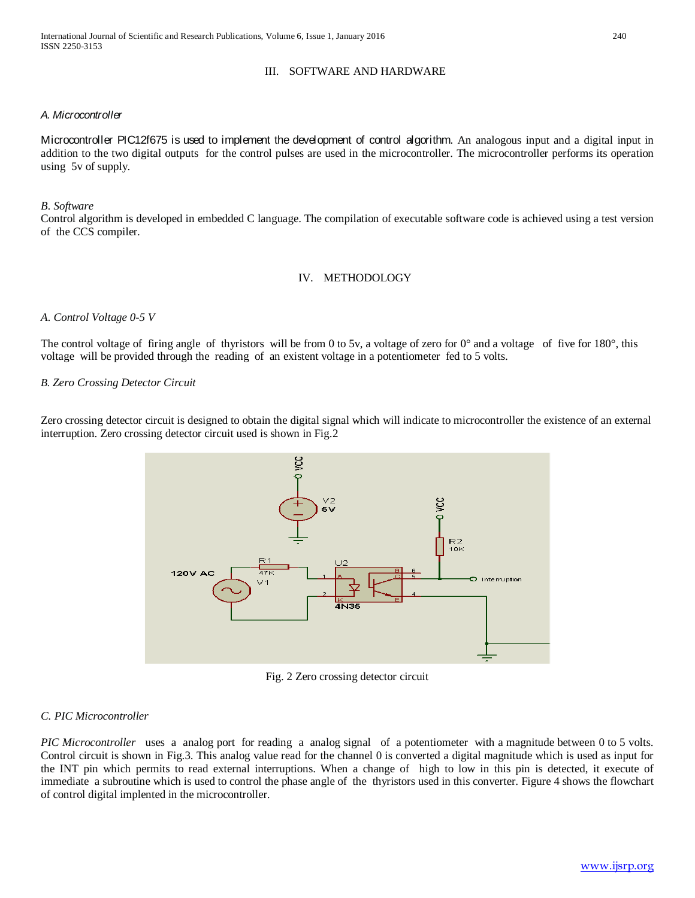### III. SOFTWARE AND HARDWARE

#### *A. Microcontroller*

Microcontroller PIC12f675 is used to implement the development of control algorithm. An analogous input and a digital input in addition to the two digital outputs for the control pulses are used in the microcontroller. The microcontroller performs its operation using 5v of supply.

#### *B. Software*

Control algorithm is developed in embedded C language. The compilation of executable software code is achieved using a test version of the CCS compiler.

#### IV. METHODOLOGY

#### *A. Control Voltage 0-5 V*

The control voltage of firing angle of thyristors will be from 0 to 5v, a voltage of zero for  $0^\circ$  and a voltage of five for  $180^\circ$ , this voltage will be provided through the reading of an existent voltage in a potentiometer fed to 5 volts.

#### *B. Zero Crossing Detector Circuit*

Zero crossing detector circuit is designed to obtain the digital signal which will indicate to microcontroller the existence of an external interruption. Zero crossing detector circuit used is shown in Fig.2



Fig. 2 Zero crossing detector circuit

#### *C. PIC Microcontroller*

*PIC Microcontroller* uses a analog port for reading a analog signal of a potentiometer with a magnitude between 0 to 5 volts. Control circuit is shown in Fig.3. This analog value read for the channel 0 is converted a digital magnitude which is used as input for the INT pin which permits to read external interruptions. When a change of high to low in this pin is detected, it execute of immediate a subroutine which is used to control the phase angle of the thyristors used in this converter. Figure 4 shows the flowchart of control digital implented in the microcontroller.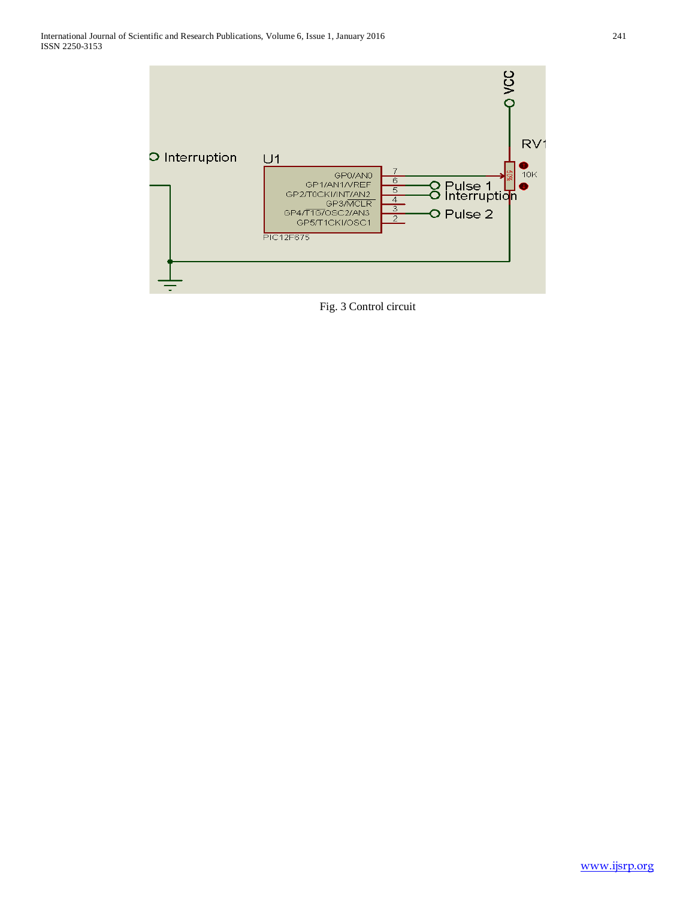

Fig. 3 Control circuit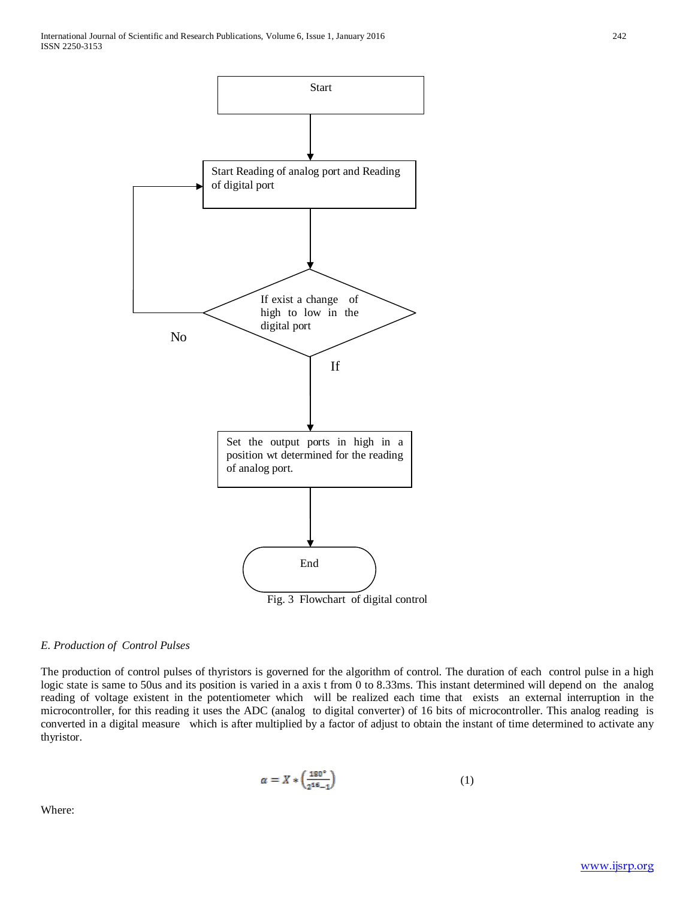

#### *E. Production of Control Pulses*

The production of control pulses of thyristors is governed for the algorithm of control. The duration of each control pulse in a high logic state is same to 50us and its position is varied in a axis t from 0 to 8.33ms. This instant determined will depend on the analog reading of voltage existent in the potentiometer which will be realized each time that exists an external interruption in the microcontroller, for this reading it uses the ADC (analog to digital converter) of 16 bits of microcontroller. This analog reading is converted in a digital measure which is after multiplied by a factor of adjust to obtain the instant of time determined to activate any thyristor.

$$
\alpha = X * \left(\frac{\mathbf{180}^{\circ}}{2^{\mathbf{16}-1}}\right) \tag{1}
$$

Where: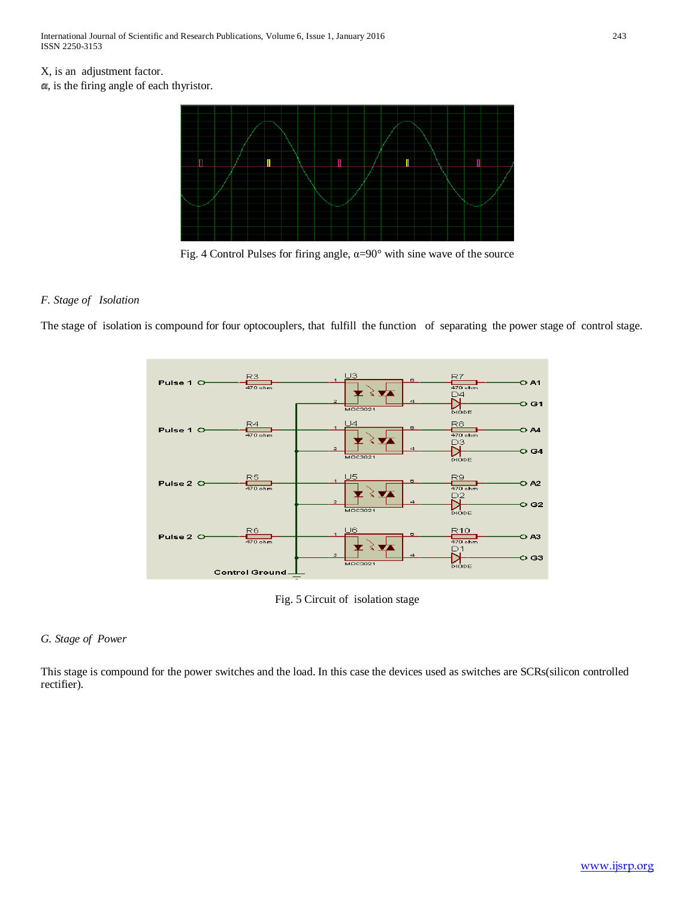## X, is an adjustment factor.

 $\boldsymbol{\alpha}$ , is the firing angle of each thyristor.



Fig. 4 Control Pulses for firing angle,  $\alpha = 90^\circ$  with sine wave of the source

### *F. Stage of Isolation*

The stage of isolation is compound for four optocouplers, that fulfill the function of separating the power stage of control stage.



Fig. 5 Circuit of isolation stage

#### *G. Stage of Power*

This stage is compound for the power switches and the load. In this case the devices used as switches are SCRs(silicon controlled rectifier).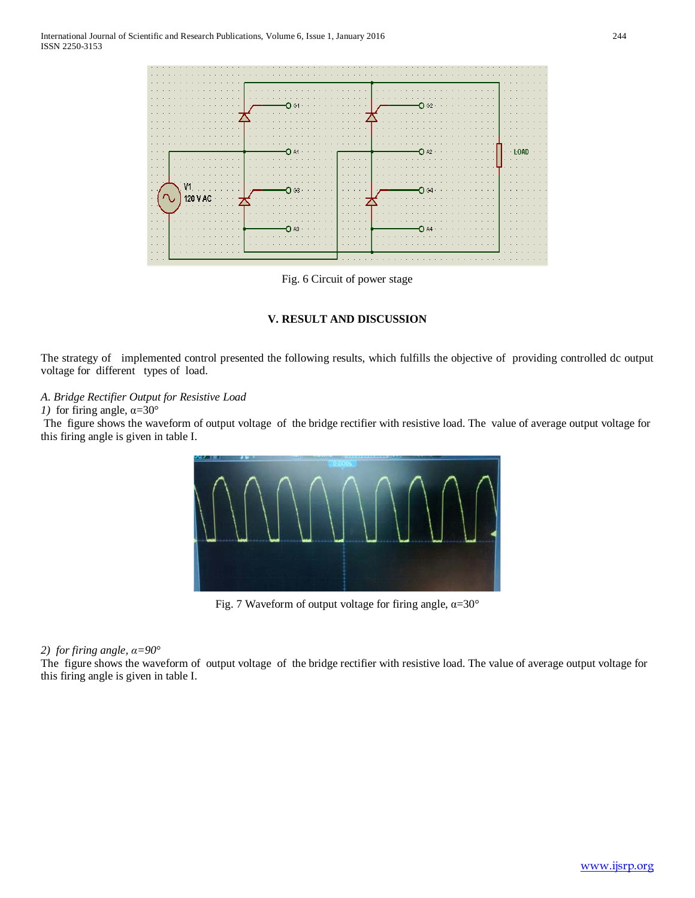

Fig. 6 Circuit of power stage

#### **V. RESULT AND DISCUSSION**

The strategy of implemented control presented the following results, which fulfills the objective of providing controlled dc output voltage for different types of load.

#### *A. Bridge Rectifier Output for Resistive Load*

#### *1)* for firing angle,  $\alpha = 30^\circ$

The figure shows the waveform of output voltage of the bridge rectifier with resistive load. The value of average output voltage for this firing angle is given in table I.



Fig. 7 Waveform of output voltage for firing angle,  $\alpha = 30^\circ$ 

#### *2) for firing angle, α=90°*

The figure shows the waveform of output voltage of the bridge rectifier with resistive load. The value of average output voltage for this firing angle is given in table I.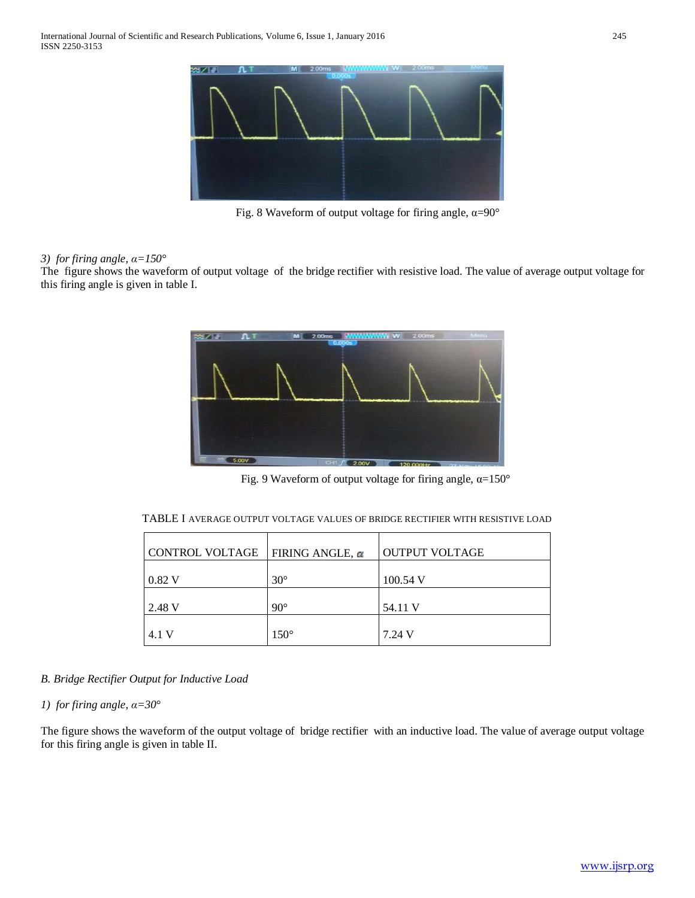

Fig. 8 Waveform of output voltage for firing angle,  $\alpha = 90^\circ$ 

#### *3) for firing angle, α=150°*

The figure shows the waveform of output voltage of the bridge rectifier with resistive load. The value of average output voltage for this firing angle is given in table I.



Fig. 9 Waveform of output voltage for firing angle,  $\alpha$ =150°

| CONTROL VOLTAGE | FIRING ANGLE, $\alpha$ | <b>OUTPUT VOLTAGE</b> |
|-----------------|------------------------|-----------------------|
| 0.82 V          | $30^\circ$             | $100.54$ V            |
| 2.48 V          | $90^{\circ}$           | 54.11 V               |
| 4.1 V           | $150^\circ$            | 7.24 V                |

TABLE I AVERAGE OUTPUT VOLTAGE VALUES OF BRIDGE RECTIFIER WITH RESISTIVE LOAD

*B. Bridge Rectifier Output for Inductive Load*

*1) for firing angle, α=30°*

The figure shows the waveform of the output voltage of bridge rectifier with an inductive load. The value of average output voltage for this firing angle is given in table II.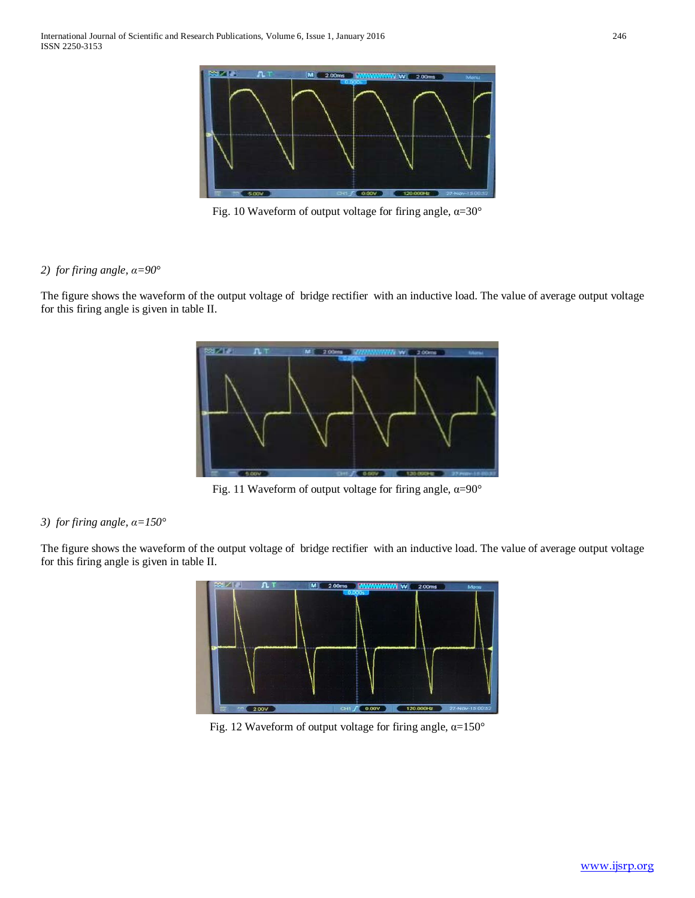

Fig. 10 Waveform of output voltage for firing angle,  $\alpha = 30^\circ$ 

## *2) for firing angle, α=90°*

The figure shows the waveform of the output voltage of bridge rectifier with an inductive load. The value of average output voltage for this firing angle is given in table II.



Fig. 11 Waveform of output voltage for firing angle,  $\alpha = 90^\circ$ 

## *3) for firing angle, α=150°*

The figure shows the waveform of the output voltage of bridge rectifier with an inductive load. The value of average output voltage for this firing angle is given in table II.



Fig. 12 Waveform of output voltage for firing angle,  $\alpha = 150^\circ$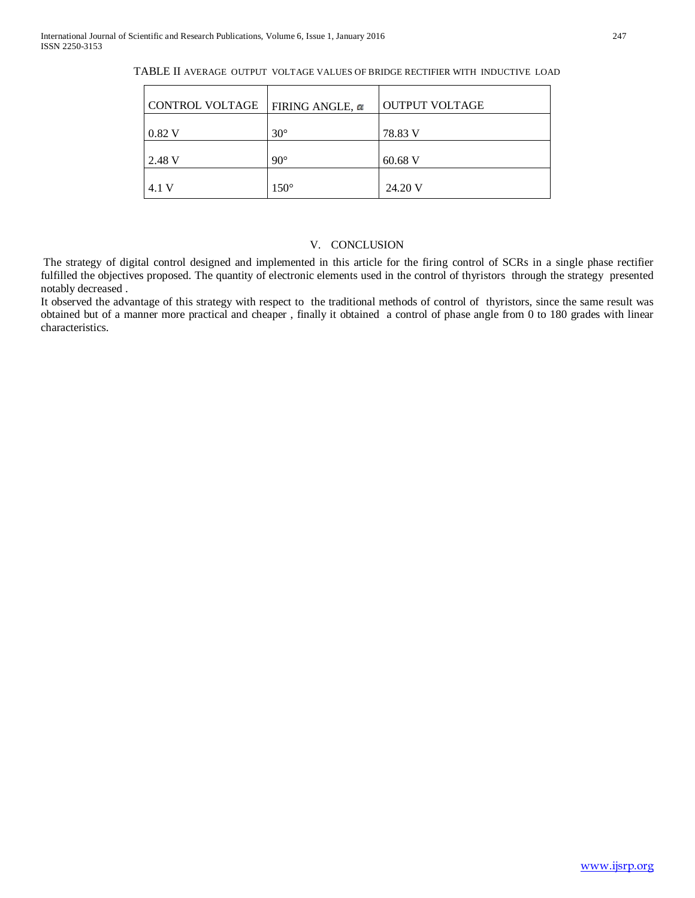| CONTROL VOLTAGE | <b>FIRING ANGLE, <math>\alpha</math></b> | <b>OUTPUT VOLTAGE</b> |
|-----------------|------------------------------------------|-----------------------|
| 0.82 V          | $30^{\circ}$                             | 78.83 V               |
| 2.48 V          | $90^{\circ}$                             | $60.68$ V             |
| 4.1 V           | $150^\circ$                              | 24.20 V               |

TABLE II AVERAGE OUTPUT VOLTAGE VALUES OF BRIDGE RECTIFIER WITH INDUCTIVE LOAD

## V. CONCLUSION

The strategy of digital control designed and implemented in this article for the firing control of SCRs in a single phase rectifier fulfilled the objectives proposed. The quantity of electronic elements used in the control of thyristors through the strategy presented notably decreased .

It observed the advantage of this strategy with respect to the traditional methods of control of thyristors, since the same result was obtained but of a manner more practical and cheaper , finally it obtained a control of phase angle from 0 to 180 grades with linear characteristics.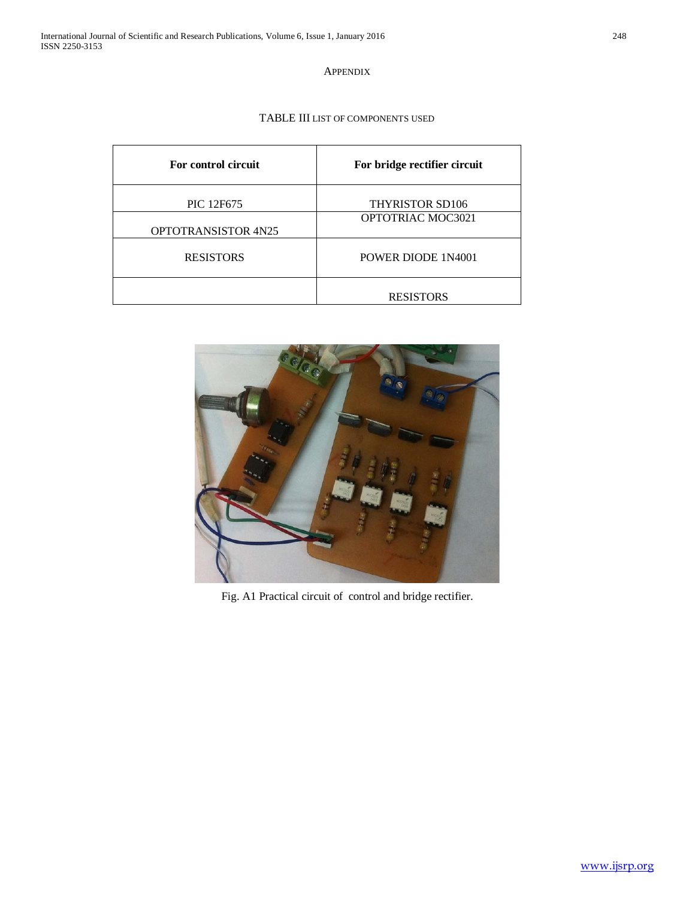APPENDIX

TABLE III LIST OF COMPONENTS USED

| For control circuit        | For bridge rectifier circuit |
|----------------------------|------------------------------|
| PIC 12F675                 | <b>THYRISTOR SD106</b>       |
| <b>OPTOTRANSISTOR 4N25</b> | OPTOTRIAC MOC3021            |
| <b>RESISTORS</b>           | POWER DIODE 1N4001           |
|                            | <b>RESISTORS</b>             |



Fig. A1 Practical circuit of control and bridge rectifier.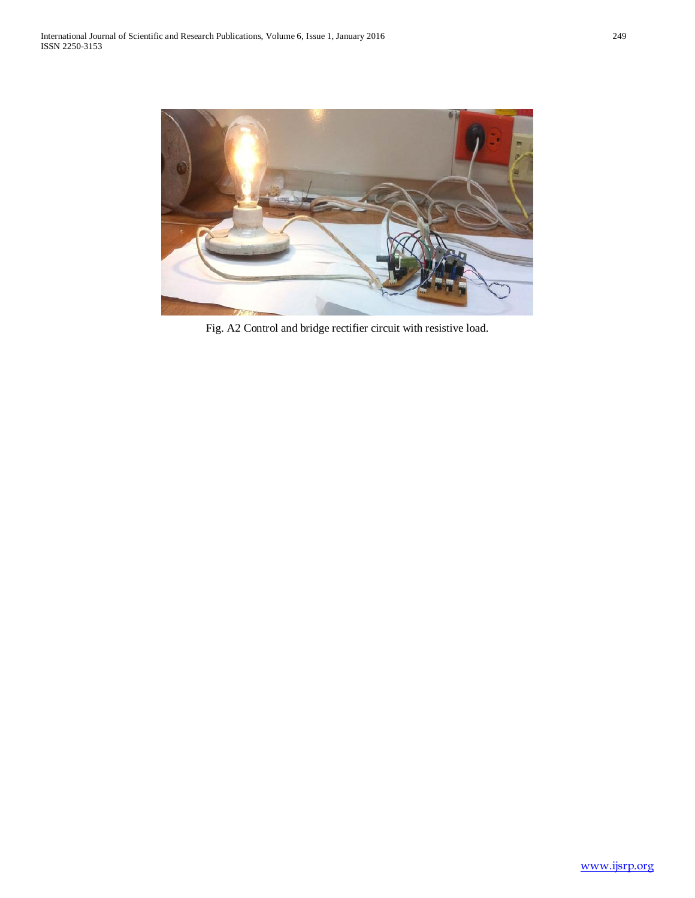

Fig. A2 Control and bridge rectifier circuit with resistive load.